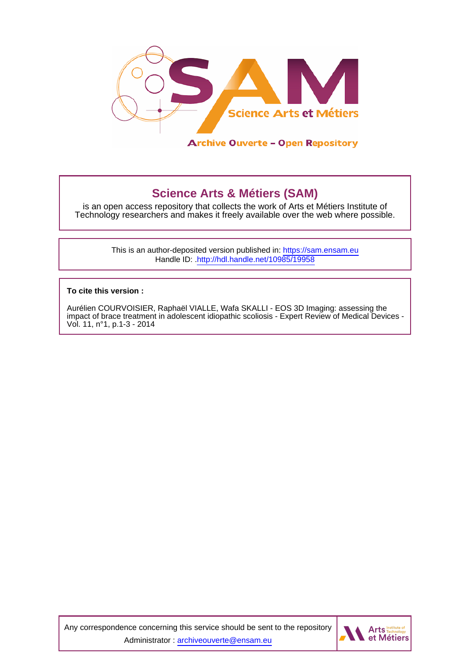

# **Science Arts & Métiers (SAM)**

is an open access repository that collects the work of Arts et Métiers Institute of Technology researchers and makes it freely available over the web where possible.

> This is an author-deposited version published in:<https://sam.ensam.eu> Handle ID: [.http://hdl.handle.net/10985/19958](http://hdl.handle.net/10985/19958)

**To cite this version :**

Aurélien COURVOISIER, Raphaël VIALLE, Wafa SKALLI - EOS 3D Imaging: assessing the impact of brace treatment in adolescent idiopathic scoliosis - Expert Review of Medical Devices - Vol. 11, n°1, p.1-3 - 2014

Any correspondence concerning this service should be sent to the repository Administrator : [archiveouverte@ensam.eu](mailto:archiveouverte@ensam.eu)

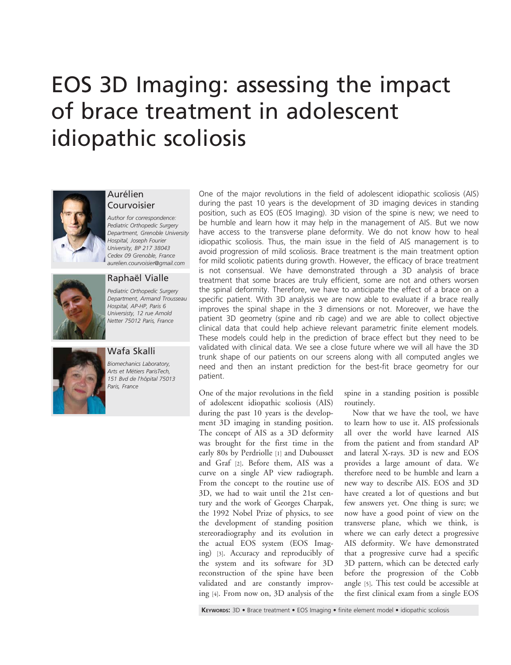# EOS 3D Imaging: assessing the impact of brace treatment in adolescent idiopathic scoliosis



## Aurélien Courvoisier

Author for correspondence: Pediatric Orthopedic Surgery Department, Grenoble University Hospital, Joseph Fourier University, BP 217 38043 Cedex 09 Grenoble, France [aurelien.courvoisier@gmail.com](mailto:1)



# Raphaël Vialle

Pediatric Orthopedic Surgery Department, Armand Trousseau Hospital, AP-HP, Paris 6 Universisty, 12 rue Arnold Netter 75012 Paris, France

Wafa Skalli 151 Bvd de l'hôpital 75013 Paris, France

Biomechanics Laboratory, Arts et Métiers ParisTech,

One of the major revolutions in the field of adolescent idiopathic scoliosis (AIS) during the past 10 years is the development of 3D imaging devices in standing position, such as EOS (EOS Imaging). 3D vision of the spine is new; we need to be humble and learn how it may help in the management of AIS. But we now have access to the transverse plane deformity. We do not know how to heal idiopathic scoliosis. Thus, the main issue in the field of AIS management is to avoid progression of mild scoliosis. Brace treatment is the main treatment option for mild scoliotic patients during growth. However, the efficacy of brace treatment is not consensual. We have demonstrated through a 3D analysis of brace treatment that some braces are truly efficient, some are not and others worsen the spinal deformity. Therefore, we have to anticipate the effect of a brace on a specific patient. With 3D analysis we are now able to evaluate if a brace really improves the spinal shape in the 3 dimensions or not. Moreover, we have the patient 3D geometry (spine and rib cage) and we are able to collect objective clinical data that could help achieve relevant parametric finite element models. These models could help in the prediction of brace effect but they need to be validated with clinical data. We see a close future where we will all have the 3D trunk shape of our patients on our screens along with all computed angles we need and then an instant prediction for the best-fit brace geometry for our patient.

One of the major revolutions in the field of adolescent idiopathic scoliosis (AIS) during the past 10 years is the development 3D imaging in standing position. The concept of AIS as a 3D deformity was brought for the first time in the early 80s by Perdriolle [\[1\]](#page-3-0) and Dubousset and Graf [[2\]](#page-3-0). Before them, AIS was a curve on a single AP view radiograph. From the concept to the routine use of 3D, we had to wait until the 21st century and the work of Georges Charpak, the 1992 Nobel Prize of physics, to see the development of standing position stereoradiography and its evolution in the actual EOS system (EOS Imaging) [[3](#page-3-0)]. Accuracy and reproducibly of the system and its software for 3D reconstruction of the spine have been validated and are constantly improving [\[4](#page-3-0)]. From now on, 3D analysis of the spine in a standing position is possible routinely.

Now that we have the tool, we have to learn how to use it. AIS professionals all over the world have learned AIS from the patient and from standard AP and lateral X-rays. 3D is new and EOS provides a large amount of data. We therefore need to be humble and learn a new way to describe AIS. EOS and 3D have created a lot of questions and but few answers yet. One thing is sure; we now have a good point of view on the transverse plane, which we think, is where we can early detect a progressive AIS deformity. We have demonstrated that a progressive curve had a specific 3D pattern, which can be detected early before the progression of the Cobb angle [[5\]](#page-3-0). This test could be accessible at the first clinical exam from a single EOS

KEYWORDS: 3D • Brace treatment • EOS Imaging • finite element model • idiopathic scoliosis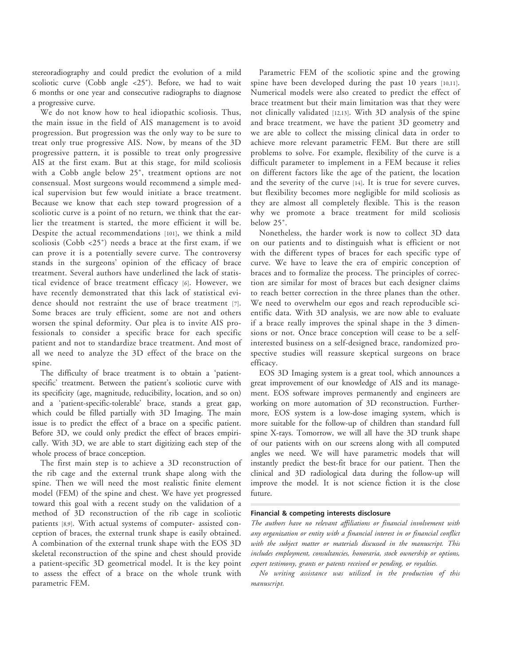stereoradiography and could predict the evolution of a mild scoliotic curve (Cobb angle <25˚). Before, we had to wait 6 months or one year and consecutive radiographs to diagnose a progressive curve.

We do not know how to heal idiopathic scoliosis. Thus, the main issue in the field of AIS management is to avoid progression. But progression was the only way to be sure to treat only true progressive AIS. Now, by means of the 3D progressive pattern, it is possible to treat only progressive AIS at the first exam. But at this stage, for mild scoliosis with a Cobb angle below 25˚, treatment options are not consensual. Most surgeons would recommend a simple medical supervision but few would initiate a brace treatment. Because we know that each step toward progression of a scoliotic curve is a point of no return, we think that the earlier the treatment is started, the more efficient it will be. Despite the actual recommendations [\[101\]](#page-3-0), we think a mild scoliosis (Cobb <25˚) needs a brace at the first exam, if we can prove it is a potentially severe curve. The controversy stands in the surgeons' opinion of the efficacy of brace treatment. Several authors have underlined the lack of statistical evidence of brace treatment efficacy [[6](#page-3-0)]. However, we have recently demonstrated that this lack of statistical evidence should not restraint the use of brace treatment [\[7\]](#page-3-0). Some braces are truly efficient, some are not and others worsen the spinal deformity. Our plea is to invite AIS professionals to consider a specific brace for each specific patient and not to standardize brace treatment. And most of all we need to analyze the 3D effect of the brace on the spine.

The difficulty of brace treatment is to obtain a 'patientspecific' treatment. Between the patient's scoliotic curve with its specificity (age, magnitude, reducibility, location, and so on) and a 'patient-specific-tolerable' brace, stands a great gap, which could be filled partially with 3D Imaging. The main issue is to predict the effect of a brace on a specific patient. Before 3D, we could only predict the effect of braces empirically. With 3D, we are able to start digitizing each step of the whole process of brace conception.

The first main step is to achieve a 3D reconstruction of the rib cage and the external trunk shape along with the spine. Then we will need the most realistic finite element model (FEM) of the spine and chest. We have yet progressed toward this goal with a recent study on the validation of a method of 3D reconstruction of the rib cage in scoliotic patients [[8](#page-3-0),[9](#page-3-0)]. With actual systems of computer- assisted conception of braces, the external trunk shape is easily obtained. A combination of the external trunk shape with the EOS 3D skeletal reconstruction of the spine and chest should provide a patient-specific 3D geometrical model. It is the key point to assess the effect of a brace on the whole trunk with parametric FEM.

Parametric FEM of the scoliotic spine and the growing spine have been developed during the past 10 years [\[10](#page-3-0),[11\]](#page-3-0). Numerical models were also created to predict the effect of brace treatment but their main limitation was that they were not clinically validated [[12,13\]](#page-3-0). With 3D analysis of the spine and brace treatment, we have the patient 3D geometry and we are able to collect the missing clinical data in order to achieve more relevant parametric FEM. But there are still problems to solve. For example, flexibility of the curve is a difficult parameter to implement in a FEM because it relies on different factors like the age of the patient, the location and the severity of the curve [[14\]](#page-3-0). It is true for severe curves, but flexibility becomes more negligible for mild scoliosis as they are almost all completely flexible. This is the reason why we promote a brace treatment for mild scoliosis below 25˚.

Nonetheless, the harder work is now to collect 3D data on our patients and to distinguish what is efficient or not with the different types of braces for each specific type of curve. We have to leave the era of empiric conception of braces and to formalize the process. The principles of correction are similar for most of braces but each designer claims to reach better correction in the three planes than the other. We need to overwhelm our egos and reach reproducible scientific data. With 3D analysis, we are now able to evaluate if a brace really improves the spinal shape in the 3 dimensions or not. Once brace conception will cease to be a selfinterested business on a self-designed brace, randomized prospective studies will reassure skeptical surgeons on brace efficacy.

EOS 3D Imaging system is a great tool, which announces a great improvement of our knowledge of AIS and its management. EOS software improves permanently and engineers are working on more automation of 3D reconstruction. Furthermore, EOS system is a low-dose imaging system, which is more suitable for the follow-up of children than standard full spine X-rays. Tomorrow, we will all have the 3D trunk shape of our patients with on our screens along with all computed angles we need. We will have parametric models that will instantly predict the best-fit brace for our patient. Then the clinical and 3D radiological data during the follow-up will improve the model. It is not science fiction it is the close future.

### Financial & competing interests disclosure

The authors have no relevant affiliations or financial involvement with any organization or entity with a financial interest in or financial conflict with the subject matter or materials discussed in the manuscript. This includes employment, consultancies, honoraria, stock ownership or options, expert testimony, grants or patents received or pending, or royalties.

No writing assistance was utilized in the production of this manuscript.